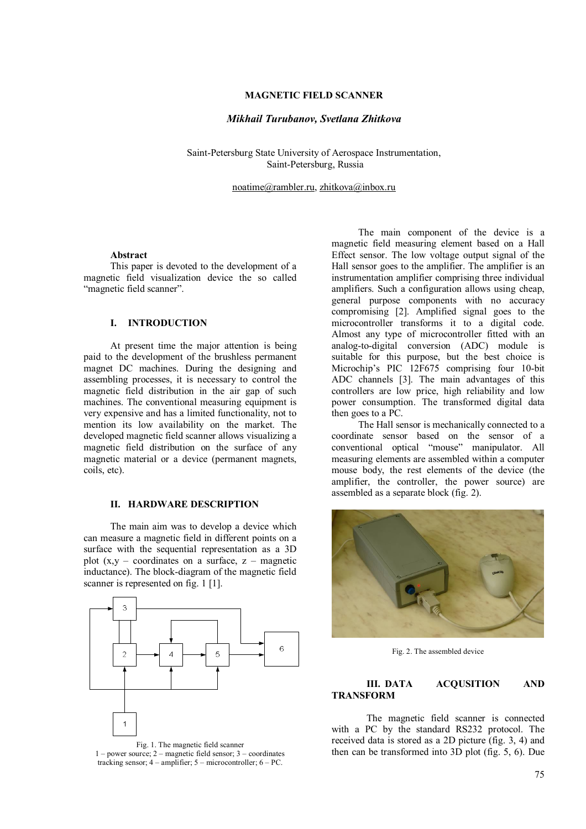# **MAGNETIC FIELD SCANNER**

## *Mikhail Turubanov, Svetlana Zhitkova*

Saint-Petersburg State University of Aerospace Instrumentation, Saint-Petersburg, Russia

noatime@rambler.ru, zhitkova@inbox.ru

### **Abstract**

This paper is devoted to the development of a magnetic field visualization device the so called "magnetic field scanner".

### **I. INTRODUCTION**

At present time the major attention is being paid to the development of the brushless permanent magnet DC machines. During the designing and assembling processes, it is necessary to control the magnetic field distribution in the air gap of such machines. The conventional measuring equipment is very expensive and has a limited functionality, not to mention its low availability on the market. The developed magnetic field scanner allows visualizing a magnetic field distribution on the surface of any magnetic material or a device (permanent magnets, coils, etc).

## **II. HARDWARE DESCRIPTION**

The main aim was to develop a device which can measure a magnetic field in different points on a surface with the sequential representation as a 3D plot  $(x,y - coordinates on a surface, z - magnetic$ inductance). The block-diagram of the magnetic field scanner is represented on fig. 1 [1].



1 – power source; 2 – magnetic field sensor; 3 – coordinates tracking sensor;  $4 -$ amplifier;  $5 -$ microcontroller;  $6 - PC$ .

The main component of the device is a magnetic field measuring element based on a Hall Effect sensor. The low voltage output signal of the Hall sensor goes to the amplifier. The amplifier is an instrumentation amplifier comprising three individual amplifiers. Such a configuration allows using cheap, general purpose components with no accuracy compromising [2]. Amplified signal goes to the microcontroller transforms it to a digital code. Almost any type of microcontroller fitted with an analog-to-digital conversion (ADC) module is suitable for this purpose, but the best choice is Microchip's PIC 12F675 comprising four 10-bit ADC channels [3]. The main advantages of this controllers are low price, high reliability and low power consumption. The transformed digital data then goes to a PC.

The Hall sensor is mechanically connected to a coordinate sensor based on the sensor of a conventional optical "mouse" manipulator. All measuring elements are assembled within a computer mouse body, the rest elements of the device (the amplifier, the controller, the power source) are assembled as a separate block (fig. 2).



Fig. 2. The assembled device

## **III. DATA ACQUSITION AND TRANSFORM**

The magnetic field scanner is connected with a PC by the standard RS232 protocol. The received data is stored as a 2D picture (fig. 3, 4) and then can be transformed into 3D plot (fig. 5, 6). Due